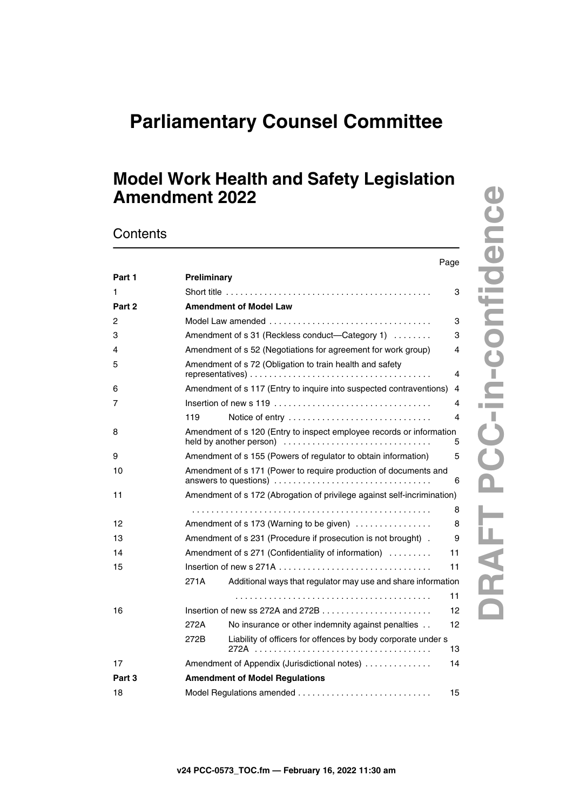# **Parliamentary Counsel Committee**

## **Model Work Health and Safety Legislation Amendment 2022**

**Contents** 

|        | Page                                                                       |  |
|--------|----------------------------------------------------------------------------|--|
| Part 1 | Preliminary                                                                |  |
| 1      | 3                                                                          |  |
| Part 2 | <b>Amendment of Model Law</b>                                              |  |
| 2      | 3                                                                          |  |
| 3      | Amendment of s 31 (Reckless conduct—Category 1)<br>3                       |  |
| 4      | Amendment of s 52 (Negotiations for agreement for work group)<br>4         |  |
| 5      | Amendment of s 72 (Obligation to train health and safety<br>4              |  |
| 6      | Amendment of s 117 (Entry to inquire into suspected contraventions)<br>4   |  |
| 7      | 4                                                                          |  |
|        | Notice of entry<br>4<br>119                                                |  |
| 8      | Amendment of s 120 (Entry to inspect employee records or information<br>5  |  |
| 9      | Amendment of s 155 (Powers of regulator to obtain information)<br>5        |  |
| 10     | Amendment of s 171 (Power to require production of documents and<br>6      |  |
| 11     | Amendment of s 172 (Abrogation of privilege against self-incrimination)    |  |
|        | 8                                                                          |  |
| 12     | 8<br>Amendment of s 173 (Warning to be given)                              |  |
| 13     | Amendment of s 231 (Procedure if prosecution is not brought).<br>9         |  |
| 14     | Amendment of s 271 (Confidentiality of information)<br>11                  |  |
| 15     | 11                                                                         |  |
|        | Additional ways that regulator may use and share information<br>271A       |  |
|        | 11                                                                         |  |
| 16     | 12                                                                         |  |
|        | 272A<br>No insurance or other indemnity against penalties<br>12            |  |
|        | Liability of officers for offences by body corporate under s<br>272B<br>13 |  |
| 17     | Amendment of Appendix (Jurisdictional notes)<br>14                         |  |
| Part 3 | <b>Amendment of Model Regulations</b>                                      |  |
| 18     | 15                                                                         |  |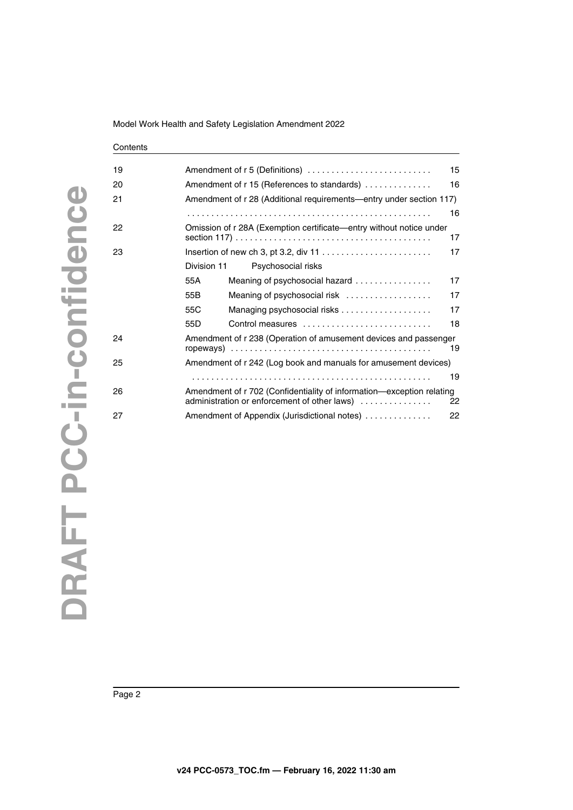| Model Work Health and Safety Legislation Amendment 2022 |  |
|---------------------------------------------------------|--|
|---------------------------------------------------------|--|

### **Contents** [19](#page-14-4) [Amendment of r 5 \(Definitions\) . . . . . . . . . . . . . . . . . . . . . . . . . . 15](#page-14-5) [20](#page-15-0) [Amendment of r 15 \(References to standards\) . . . . . . . . . . . . . . 16](#page-15-1) [21](#page-15-2) [Amendment of r 28 \(Additional requirements—entry under section 117\)](#page-15-3)  . . . . . . . . . . . . . . . . . . . . . . . . . . . . . . . . . . . . . . . . . . . . . . . . . . . 16 [22](#page-16-0) [Omission of r 28A \(Exemption certificate—entry without notice under](#page-16-1)  [section 117\) . . . . . . . . . . . . . . . . . . . . . . . . . . . . . . . . . . . . . . . . . 17](#page-16-1) [23](#page-16-2) [Insertion of new ch 3, pt 3.2, div 11 . . . . . . . . . . . . . . . . . . . . . . . 17](#page-16-3) [Division 11](#page-16-4) [Psychosocial risks](#page-16-5) [55A](#page-16-6) [Meaning of psychosocial hazard . . . . . . . . . . . . . . . . 17](#page-16-7) [55B](#page-16-8) [Meaning of psychosocial risk . . . . . . . . . . . . . . . . . . 17](#page-16-9) [55C](#page-16-10) [Managing psychosocial risks . . . . . . . . . . . . . . . . . . . 17](#page-16-11) [55D](#page-17-0) [Control measures . . . . . . . . . . . . . . . . . . . . . . . . . . . 18](#page-17-1) [24](#page-18-0) [Amendment of r 238 \(Operation of amusement devices and passenger](#page-18-1)  [ropeways\) . . . . . . . . . . . . . . . . . . . . . . . . . . . . . . . . . . . . . . . . . . 19](#page-18-1) [25](#page-18-2) [Amendment of r 242 \(Log book and manuals for amusement devices\)](#page-18-3) . . . . . . . . . . . . . . . . . . . . . . . . . . . . . . . . . . . . . . . . . . . . . . . . . . 19 [26](#page-21-0) Amendment of r 702 (Confidentiality of information—exception relating<br>22 administration or enforcement of other laws) administration or enforcement of other laws) ............... [27](#page-21-2) **Amendment of Appendix (Jurisdictional notes)** . . . . . . . . . . . . . 22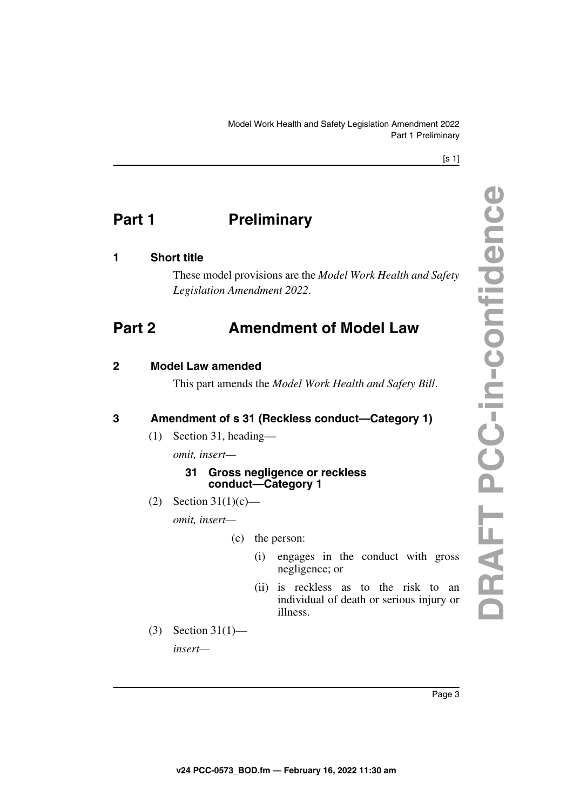<span id="page-2-1"></span>Model Work Health and Safety Legislation Amendment 2022 Part 1 Preliminary

[s 1]

## <span id="page-2-0"></span>**Part 1** Preliminary

### <span id="page-2-2"></span>**1 Short title**

<span id="page-2-5"></span><span id="page-2-3"></span>These model provisions are the *Model Work Health and Safety Legislation Amendment 2022*.

## <span id="page-2-4"></span>**Part 2 Amendment of Model Law**

### <span id="page-2-6"></span>**2 Model Law amended**

<span id="page-2-7"></span>This part amends the *Model Work Health and Safety Bill*.

### <span id="page-2-8"></span>**3 Amendment of s 31 (Reckless conduct—Category 1)**

<span id="page-2-9"></span>(1) Section 31, heading—

*omit, insert—*

### **31 Gross negligence or reckless conduct—Category 1**

(2) Section  $31(1)(c)$ —

*omit, insert—*

- (c) the person:
	- (i) engages in the conduct with gross negligence; or
	- (ii) is reckless as to the risk to an individual of death or serious injury or illness.
- (3) Section 31(1)—

*insert—*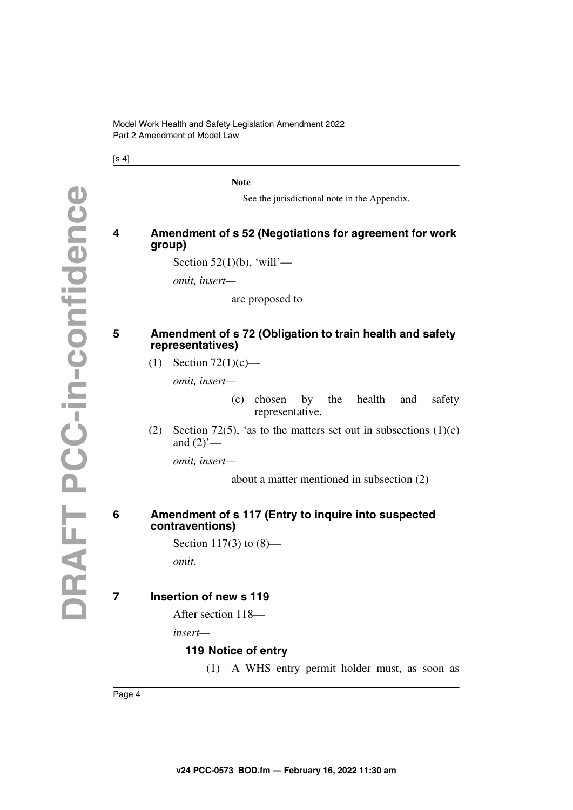$[s 4]$ 

**Note**

See the jurisdictional note in the Appendix.

### <span id="page-3-1"></span><span id="page-3-0"></span>**4 Amendment of s 52 (Negotiations for agreement for work group)**

Section  $52(1)(b)$ , 'will'—

*omit, insert—*

are proposed to

### <span id="page-3-2"></span>**5 Amendment of s 72 (Obligation to train health and safety representatives)**

<span id="page-3-3"></span>(1) Section  $72(1)(c)$ —

*omit, insert—*

(c) chosen by the health and safety representative.

(2) Section 72(5), 'as to the matters set out in subsections  $(1)(c)$ and  $(2)$ <sup>'</sup> $-$ 

*omit, insert—*

about a matter mentioned in subsection (2)

### <span id="page-3-5"></span><span id="page-3-4"></span>**6 Amendment of s 117 (Entry to inquire into suspected contraventions)**

Section 117(3) to (8) *omit.*

### <span id="page-3-6"></span>**7 Insertion of new s 119**

<span id="page-3-7"></span>After section 118—

*insert—*

### <span id="page-3-9"></span><span id="page-3-8"></span>**119 Notice of entry**

(1) A WHS entry permit holder must, as soon as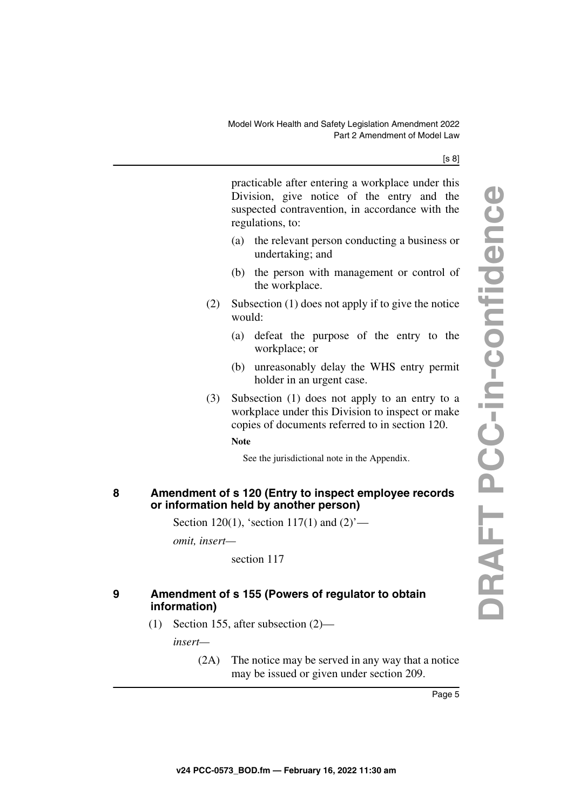#### [s 8]

practicable after entering a workplace under this Division, give notice of the entry and the suspected contravention, in accordance with the regulations, to:

- (a) the relevant person conducting a business or undertaking; and
- (b) the person with management or control of the workplace.
- (2) Subsection (1) does not apply if to give the notice would:
	- (a) defeat the purpose of the entry to the workplace; or
	- (b) unreasonably delay the WHS entry permit holder in an urgent case.
- (3) Subsection (1) does not apply to an entry to a workplace under this Division to inspect or make copies of documents referred to in section 120.

### **Note**

See the jurisdictional note in the Appendix.

### <span id="page-4-1"></span><span id="page-4-0"></span>**8 Amendment of s 120 (Entry to inspect employee records or information held by another person)**

Section 120(1), 'section 117(1) and  $(2)$ '—

*omit, insert—*

section 117

### <span id="page-4-3"></span><span id="page-4-2"></span>**9 Amendment of s 155 (Powers of regulator to obtain information)**

(1) Section 155, after subsection (2)—

*insert—*

(2A) The notice may be served in any way that a notice may be issued or given under section 209.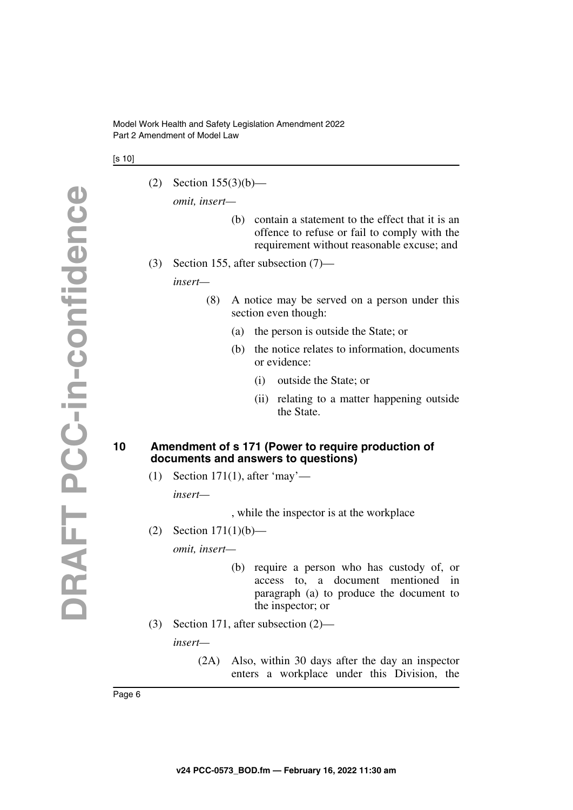[s 10]

(2) Section 155(3)(b)—

*omit, insert—*

- (b) contain a statement to the effect that it is an offence to refuse or fail to comply with the requirement without reasonable excuse; and
- (3) Section 155, after subsection (7)—

*insert—*

- (8) A notice may be served on a person under this section even though:
	- (a) the person is outside the State; or
	- (b) the notice relates to information, documents or evidence:
		- (i) outside the State; or
		- (ii) relating to a matter happening outside the State.

### <span id="page-5-1"></span><span id="page-5-0"></span>**10 Amendment of s 171 (Power to require production of documents and answers to questions)**

(1) Section 171(1), after 'may'—

*insert—*

, while the inspector is at the workplace

(2) Section 171(1)(b)—

*omit, insert—*

- (b) require a person who has custody of, or access to, a document mentioned in paragraph (a) to produce the document to the inspector; or
- (3) Section 171, after subsection (2)—

*insert—*

(2A) Also, within 30 days after the day an inspector enters a workplace under this Division, the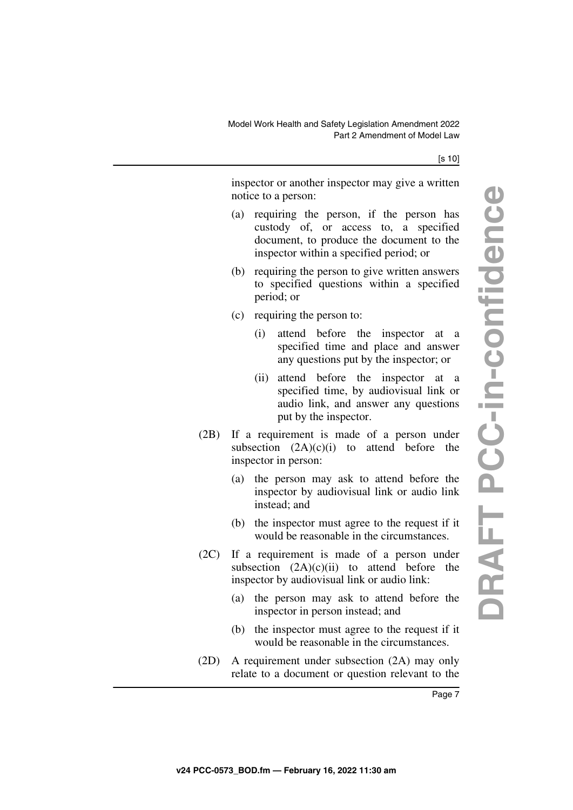#### [s 10]

inspector or another inspector may give a written notice to a person:

- (a) requiring the person, if the person has custody of, or access to, a specified document, to produce the document to the inspector within a specified period; or
- (b) requiring the person to give written answers to specified questions within a specified period; or
- (c) requiring the person to:
	- (i) attend before the inspector at a specified time and place and answer any questions put by the inspector; or
	- (ii) attend before the inspector at a specified time, by audiovisual link or audio link, and answer any questions put by the inspector.
- (2B) If a requirement is made of a person under subsection  $(2A)(c)(i)$  to attend before the inspector in person:
	- (a) the person may ask to attend before the inspector by audiovisual link or audio link instead; and
	- (b) the inspector must agree to the request if it would be reasonable in the circumstances.
- (2C) If a requirement is made of a person under subsection  $(2A)(c)(ii)$  to attend before the inspector by audiovisual link or audio link:
	- (a) the person may ask to attend before the inspector in person instead; and
	- (b) the inspector must agree to the request if it would be reasonable in the circumstances.
- (2D) A requirement under subsection (2A) may only relate to a document or question relevant to the

DRAFT PCC-in-confidence **DRAFT PCC-in-confidence**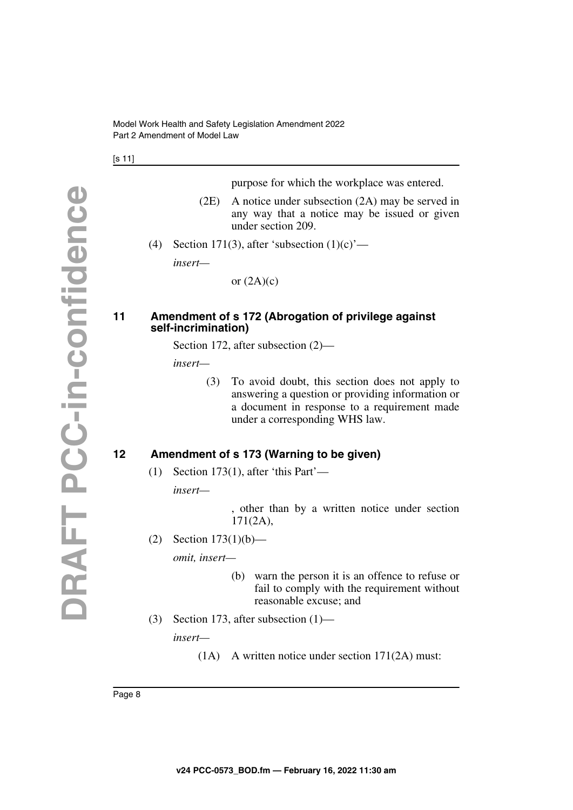[s 11]

purpose for which the workplace was entered.

- (2E) A notice under subsection (2A) may be served in any way that a notice may be issued or given under section 209.
- (4) Section 171(3), after 'subsection  $(1)(c)$ '—

*insert—*

or  $(2A)(c)$ 

### <span id="page-7-1"></span><span id="page-7-0"></span>**11 Amendment of s 172 (Abrogation of privilege against self-incrimination)**

Section 172, after subsection (2)—

*insert—*

(3) To avoid doubt, this section does not apply to answering a question or providing information or a document in response to a requirement made under a corresponding WHS law.

### <span id="page-7-2"></span>**12 Amendment of s 173 (Warning to be given)**

<span id="page-7-3"></span>(1) Section 173(1), after 'this Part'—

*insert—*

, other than by a written notice under section 171(2A),

(2) Section 173(1)(b)—

*omit, insert—*

- (b) warn the person it is an offence to refuse or fail to comply with the requirement without reasonable excuse; and
- (3) Section 173, after subsection (1)—

*insert—*

(1A) A written notice under section 171(2A) must: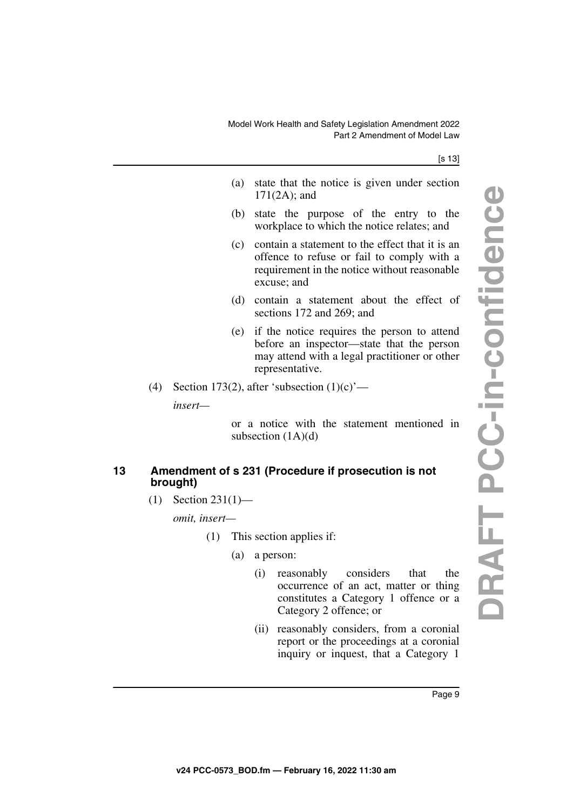#### [s 13]

- (a) state that the notice is given under section 171(2A); and
- (b) state the purpose of the entry to the workplace to which the notice relates; and
- (c) contain a statement to the effect that it is an offence to refuse or fail to comply with a requirement in the notice without reasonable excuse; and
- (d) contain a statement about the effect of sections 172 and 269; and
- (e) if the notice requires the person to attend before an inspector—state that the person may attend with a legal practitioner or other representative.
- (4) Section 173(2), after 'subsection  $(1)(c)$ '—

*insert—*

or a notice with the statement mentioned in subsection  $(1A)(d)$ 

### <span id="page-8-1"></span><span id="page-8-0"></span>**13 Amendment of s 231 (Procedure if prosecution is not brought)**

(1) Section 231(1)—

*omit, insert—*

- (1) This section applies if:
	- (a) a person:
		- (i) reasonably considers that the occurrence of an act, matter or thing constitutes a Category 1 offence or a Category 2 offence; or
		- (ii) reasonably considers, from a coronial report or the proceedings at a coronial inquiry or inquest, that a Category 1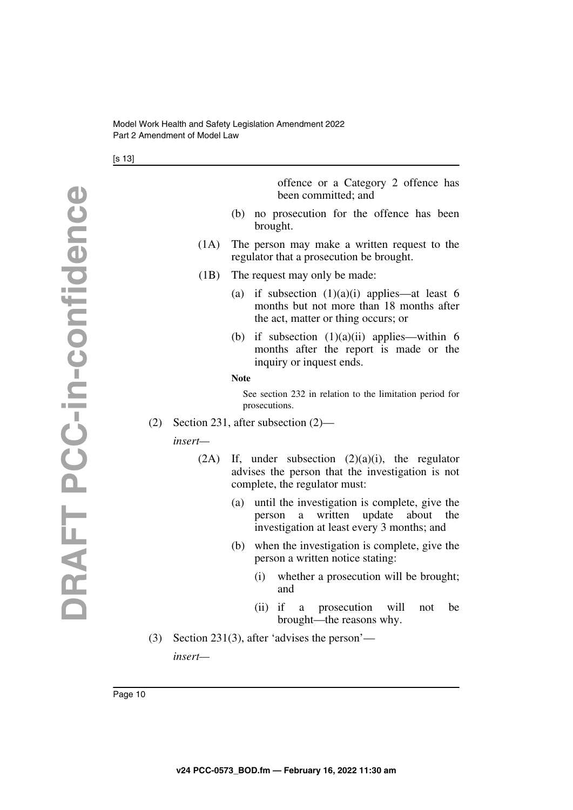[s 13]

offence or a Category 2 offence has been committed; and

- (b) no prosecution for the offence has been brought.
- (1A) The person may make a written request to the regulator that a prosecution be brought.
- (1B) The request may only be made:
	- (a) if subsection  $(1)(a)(i)$  applies—at least 6 months but not more than 18 months after the act, matter or thing occurs; or
	- (b) if subsection  $(1)(a)(ii)$  applies—within 6 months after the report is made or the inquiry or inquest ends.

#### **Note**

See section 232 in relation to the limitation period for prosecutions.

(2) Section 231, after subsection (2)—

*insert—*

- $(2A)$  If, under subsection  $(2)(a)(i)$ , the regulator advises the person that the investigation is not complete, the regulator must:
	- (a) until the investigation is complete, give the person a written update about the investigation at least every 3 months; and
	- (b) when the investigation is complete, give the person a written notice stating:
		- (i) whether a prosecution will be brought; and
		- (ii) if a prosecution will not be brought—the reasons why.
- (3) Section 231(3), after 'advises the person' *insert—*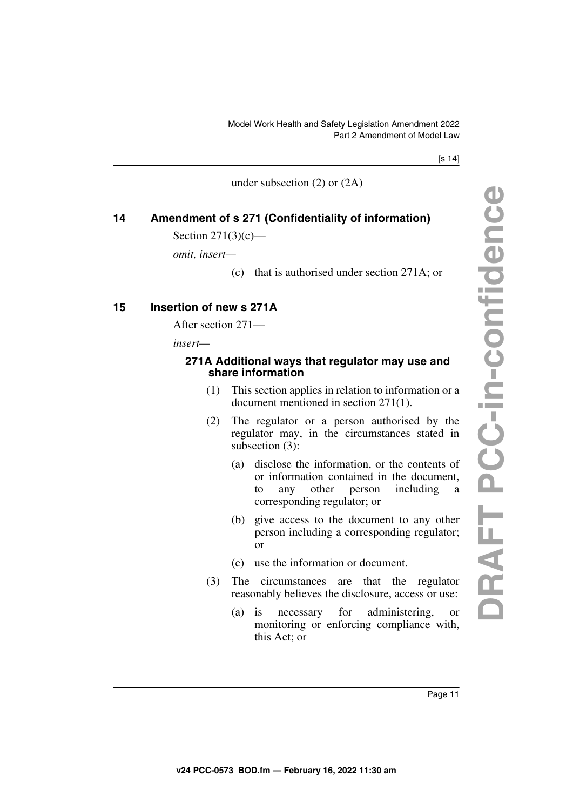[s 14]

under subsection (2) or (2A)

### <span id="page-10-0"></span>**14 Amendment of s 271 (Confidentiality of information)**

<span id="page-10-1"></span>Section 271(3)(c)—

*omit, insert—*

(c) that is authorised under section 271A; or

### <span id="page-10-2"></span>**15 Insertion of new s 271A**

<span id="page-10-3"></span>After section 271—

*insert—*

### <span id="page-10-5"></span><span id="page-10-4"></span>**271A Additional ways that regulator may use and share information**

- (1) This section applies in relation to information or a document mentioned in section 271(1).
- (2) The regulator or a person authorised by the regulator may, in the circumstances stated in subsection (3):
	- (a) disclose the information, or the contents of or information contained in the document, to any other person including a corresponding regulator; or
	- (b) give access to the document to any other person including a corresponding regulator; or
	- (c) use the information or document.
- (3) The circumstances are that the regulator reasonably believes the disclosure, access or use:
	- (a) is necessary for administering, or monitoring or enforcing compliance with, this Act; or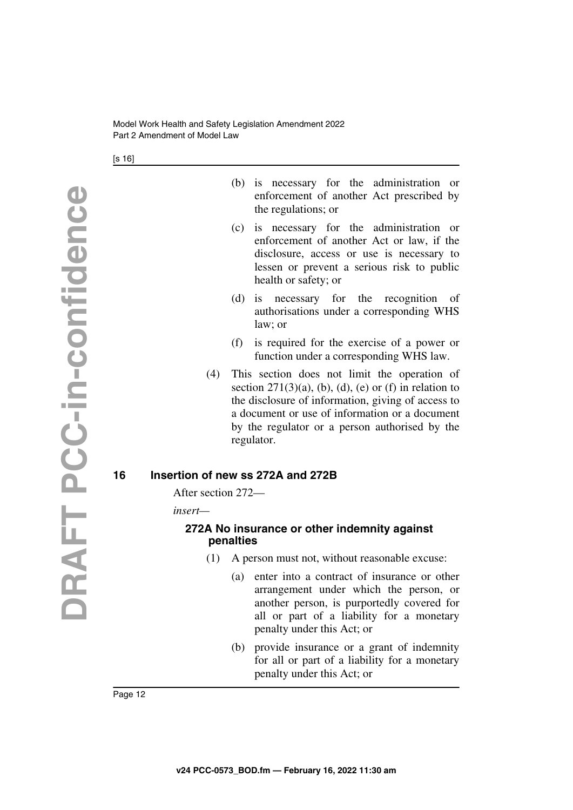[s 16]

- (b) is necessary for the administration or enforcement of another Act prescribed by the regulations; or
- (c) is necessary for the administration or enforcement of another Act or law, if the disclosure, access or use is necessary to lessen or prevent a serious risk to public health or safety; or
- (d) is necessary for the recognition of authorisations under a corresponding WHS law; or
- (f) is required for the exercise of a power or function under a corresponding WHS law.
- (4) This section does not limit the operation of section  $271(3)(a)$ , (b), (d), (e) or (f) in relation to the disclosure of information, giving of access to a document or use of information or a document by the regulator or a person authorised by the regulator.

### <span id="page-11-0"></span>**16 Insertion of new ss 272A and 272B**

<span id="page-11-1"></span>After section 272—

*insert—*

### <span id="page-11-3"></span><span id="page-11-2"></span>**272A No insurance or other indemnity against penalties**

- (1) A person must not, without reasonable excuse:
	- (a) enter into a contract of insurance or other arrangement under which the person, or another person, is purportedly covered for all or part of a liability for a monetary penalty under this Act; or
	- (b) provide insurance or a grant of indemnity for all or part of a liability for a monetary penalty under this Act; or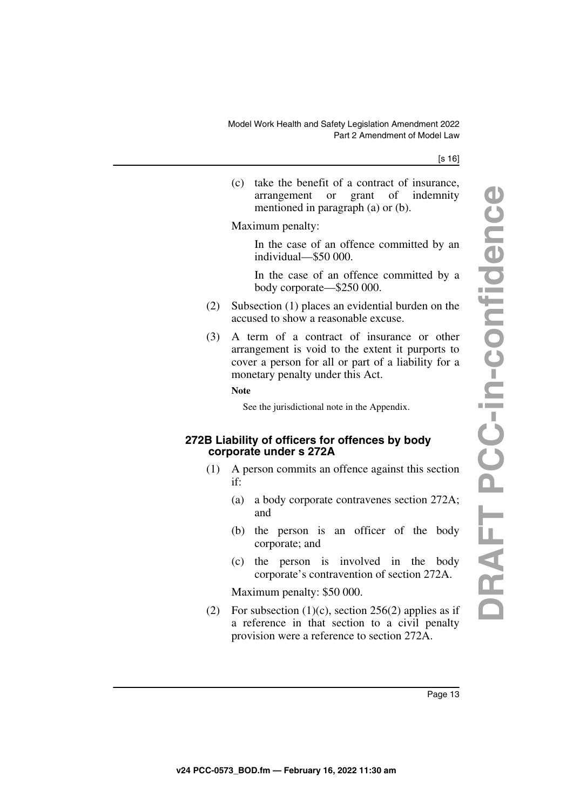#### [s 16]

(c) take the benefit of a contract of insurance, arrangement or grant of indemnity mentioned in paragraph (a) or (b).

Maximum penalty:

In the case of an offence committed by an individual—\$50 000.

In the case of an offence committed by a body corporate—\$250 000.

- (2) Subsection (1) places an evidential burden on the accused to show a reasonable excuse.
- (3) A term of a contract of insurance or other arrangement is void to the extent it purports to cover a person for all or part of a liability for a monetary penalty under this Act.

#### **Note**

See the jurisdictional note in the Appendix.

### <span id="page-12-1"></span><span id="page-12-0"></span>**272B Liability of officers for offences by body corporate under s 272A**

- (1) A person commits an offence against this section if:
	- (a) a body corporate contravenes section 272A; and
	- (b) the person is an officer of the body corporate; and
	- (c) the person is involved in the body corporate's contravention of section 272A.

Maximum penalty: \$50 000.

(2) For subsection (1)(c), section 256(2) applies as if a reference in that section to a civil penalty provision were a reference to section 272A.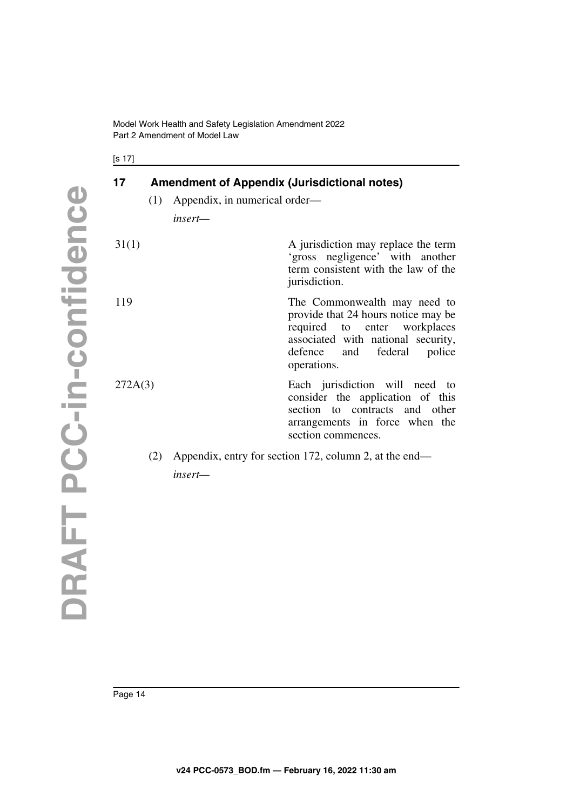[s 17]

## <span id="page-13-0"></span>**17 Amendment of Appendix (Jurisdictional notes)**

<span id="page-13-1"></span>(1) Appendix, in numerical order—

*insert—*

| 31(1)   | A jurisdiction may replace the term<br>'gross negligence' with another<br>term consistent with the law of the<br>jurisdiction.                                                            |
|---------|-------------------------------------------------------------------------------------------------------------------------------------------------------------------------------------------|
| 119     | The Commonwealth may need to<br>provide that 24 hours notice may be<br>required to enter workplaces<br>associated with national security,<br>defence and federal<br>police<br>operations. |
| 272A(3) | Each jurisdiction will need to<br>consider the application of this<br>section to contracts and other<br>arrangements in force when the<br>section commences.                              |

(2) Appendix, entry for section 172, column 2, at the end *insert—*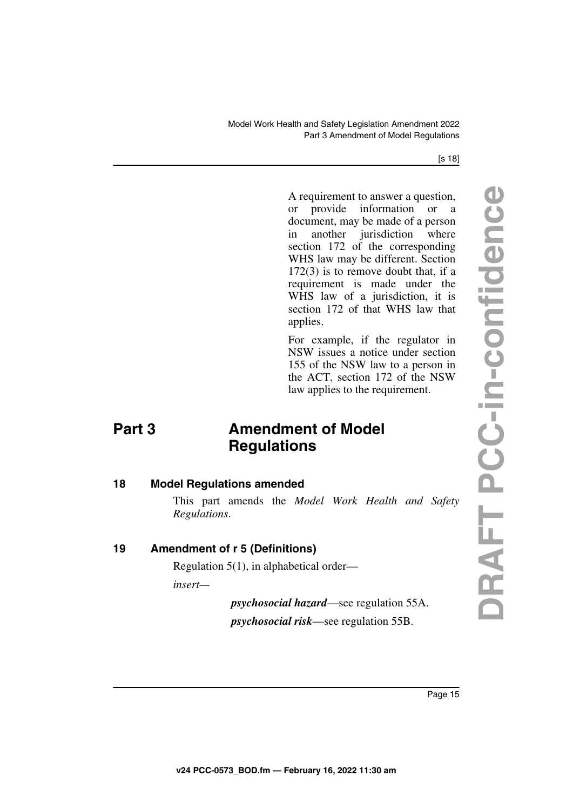#### [s 18]

A requirement to answer a question, or provide information or a document, may be made of a person in another jurisdiction where section 172 of the corresponding WHS law may be different. Section 172(3) is to remove doubt that, if a requirement is made under the WHS law of a jurisdiction, it is section 172 of that WHS law that applies.

<span id="page-14-1"></span>For example, if the regulator in NSW issues a notice under section 155 of the NSW law to a person in the ACT, section 172 of the NSW law applies to the requirement.

## <span id="page-14-0"></span>**Part 3** Amendment of Model **Regulations**

### <span id="page-14-2"></span>**18 Model Regulations amended**

<span id="page-14-3"></span>This part amends the *Model Work Health and Safety Regulations*.

### <span id="page-14-4"></span>**19 Amendment of r 5 (Definitions)**

<span id="page-14-5"></span>Regulation 5(1), in alphabetical order—

*insert—*

*psychosocial hazard*—see regulation 55A. *psychosocial risk*—see regulation 55B.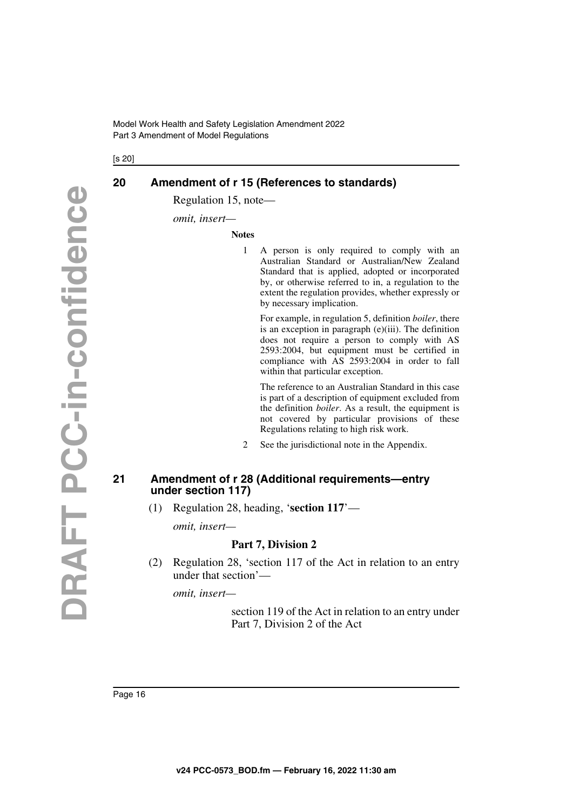[s 20]

### <span id="page-15-0"></span>**20 Amendment of r 15 (References to standards)**

<span id="page-15-1"></span>Regulation 15, note—

*omit, insert—*

**Notes**

1 A person is only required to comply with an Australian Standard or Australian/New Zealand Standard that is applied, adopted or incorporated by, or otherwise referred to in, a regulation to the extent the regulation provides, whether expressly or by necessary implication.

For example, in regulation 5, definition *boiler*, there is an exception in paragraph (e)(iii). The definition does not require a person to comply with AS 2593:2004, but equipment must be certified in compliance with AS 2593:2004 in order to fall within that particular exception.

The reference to an Australian Standard in this case is part of a description of equipment excluded from the definition *boiler*. As a result, the equipment is not covered by particular provisions of these Regulations relating to high risk work.

2 See the jurisdictional note in the Appendix.

### <span id="page-15-3"></span><span id="page-15-2"></span>**21 Amendment of r 28 (Additional requirements—entry under section 117)**

(1) Regulation 28, heading, '**section 117**'—

*omit, insert—*

### **Part 7, Division 2**

(2) Regulation 28, 'section 117 of the Act in relation to an entry under that section'—

*omit, insert—*

section 119 of the Act in relation to an entry under Part 7, Division 2 of the Act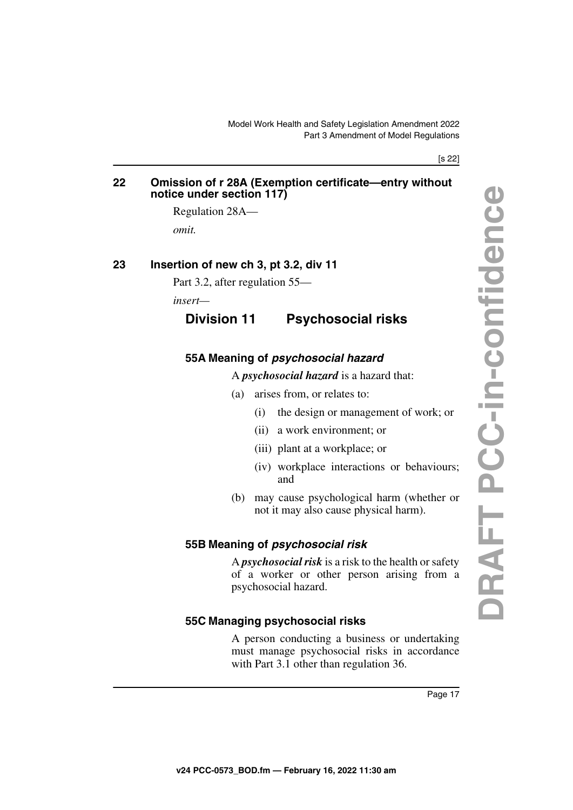#### [s 22]

### <span id="page-16-1"></span><span id="page-16-0"></span>**22 Omission of r 28A (Exemption certificate—entry without notice under section 117)**

Regulation 28A—

<span id="page-16-3"></span>*omit.*

### <span id="page-16-2"></span>**23 Insertion of new ch 3, pt 3.2, div 11**

Part 3.2, after regulation 55—

<span id="page-16-4"></span>*insert—*

### **Division 11 Psychosocial risks**

### <span id="page-16-7"></span><span id="page-16-6"></span>**55A Meaning of** *psychosocial hazard*

<span id="page-16-5"></span>A *psychosocial hazard* is a hazard that:

- (a) arises from, or relates to:
	- (i) the design or management of work; or
	- (ii) a work environment; or
	- (iii) plant at a workplace; or
	- (iv) workplace interactions or behaviours; and
- (b) may cause psychological harm (whether or not it may also cause physical harm).

### <span id="page-16-9"></span><span id="page-16-8"></span>**55B Meaning of** *psychosocial risk*

A *psychosocial risk* is a risk to the health or safety of a worker or other person arising from a psychosocial hazard.

### <span id="page-16-11"></span><span id="page-16-10"></span>**55C Managing psychosocial risks**

A person conducting a business or undertaking must manage psychosocial risks in accordance with Part 3.1 other than regulation 36.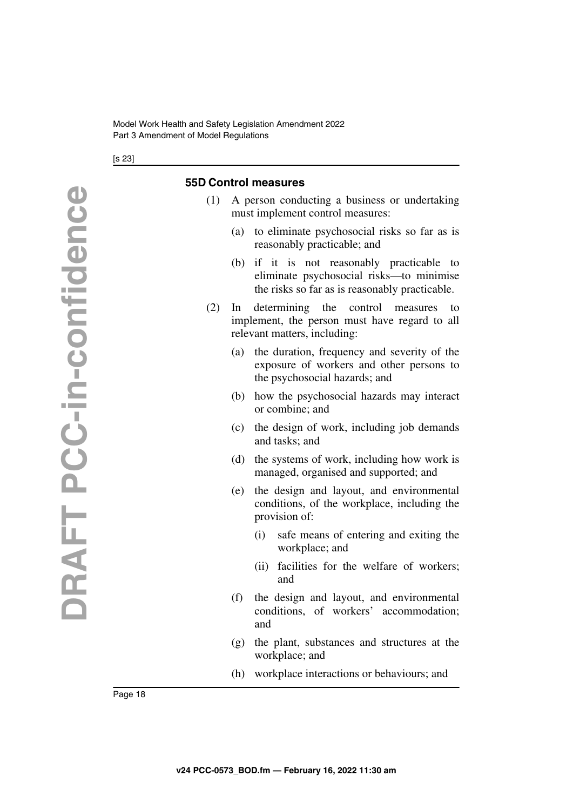[s 23]

### <span id="page-17-1"></span><span id="page-17-0"></span>**55D Control measures**

- (1) A person conducting a business or undertaking must implement control measures:
	- (a) to eliminate psychosocial risks so far as is reasonably practicable; and
	- (b) if it is not reasonably practicable to eliminate psychosocial risks—to minimise the risks so far as is reasonably practicable.
- (2) In determining the control measures to implement, the person must have regard to all relevant matters, including:
	- (a) the duration, frequency and severity of the exposure of workers and other persons to the psychosocial hazards; and
	- (b) how the psychosocial hazards may interact or combine; and
	- (c) the design of work, including job demands and tasks; and
	- (d) the systems of work, including how work is managed, organised and supported; and
	- (e) the design and layout, and environmental conditions, of the workplace, including the provision of:
		- (i) safe means of entering and exiting the workplace; and
		- (ii) facilities for the welfare of workers; and
	- (f) the design and layout, and environmental conditions, of workers' accommodation; and
	- (g) the plant, substances and structures at the workplace; and
	- (h) workplace interactions or behaviours; and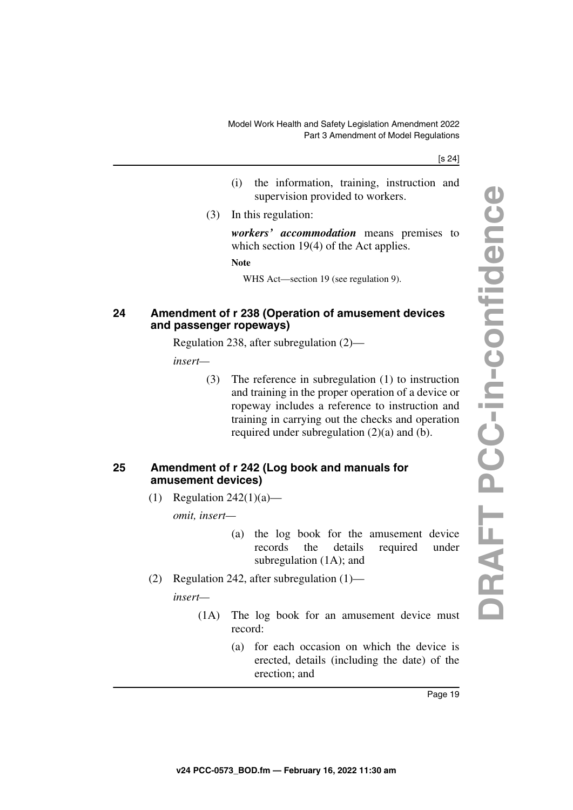#### [s 24]

- (i) the information, training, instruction and supervision provided to workers.
- (3) In this regulation:

*workers' accommodation* means premises to which section 19(4) of the Act applies.

**Note**

WHS Act—section 19 (see regulation 9).

### <span id="page-18-1"></span><span id="page-18-0"></span>**24 Amendment of r 238 (Operation of amusement devices and passenger ropeways)**

Regulation 238, after subregulation (2)—

*insert—*

(3) The reference in subregulation (1) to instruction and training in the proper operation of a device or ropeway includes a reference to instruction and training in carrying out the checks and operation required under subregulation (2)(a) and (b).

### <span id="page-18-3"></span><span id="page-18-2"></span>**25 Amendment of r 242 (Log book and manuals for amusement devices)**

(1) Regulation  $242(1)(a)$ —

*omit, insert—*

- (a) the log book for the amusement device records the details required under subregulation (1A); and
- (2) Regulation 242, after subregulation (1)—

*insert—*

- (1A) The log book for an amusement device must record:
	- (a) for each occasion on which the device is erected, details (including the date) of the erection; and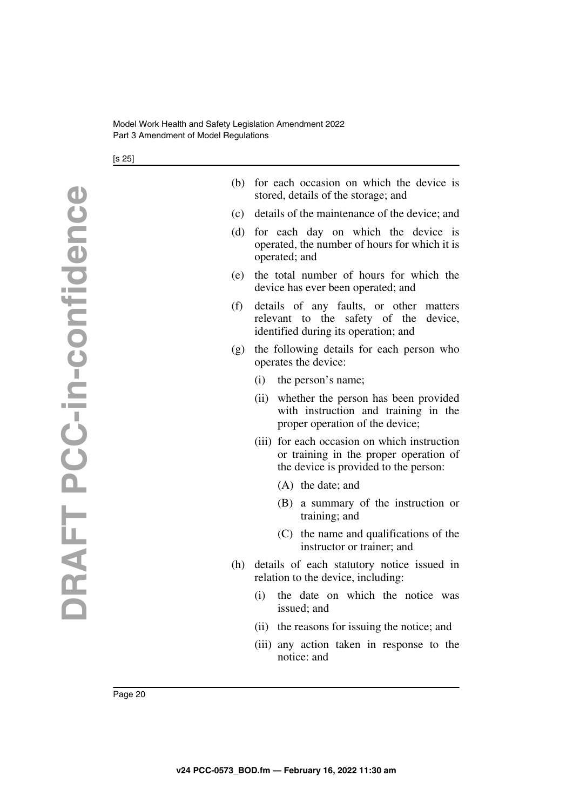[s 25]

- (b) for each occasion on which the device is stored, details of the storage; and
- (c) details of the maintenance of the device; and
- (d) for each day on which the device is operated, the number of hours for which it is operated; and
- (e) the total number of hours for which the device has ever been operated; and
- (f) details of any faults, or other matters relevant to the safety of the device, identified during its operation; and
- (g) the following details for each person who operates the device:
	- (i) the person's name;
	- (ii) whether the person has been provided with instruction and training in the proper operation of the device;
	- (iii) for each occasion on which instruction or training in the proper operation of the device is provided to the person:
		- (A) the date; and
		- (B) a summary of the instruction or training; and
		- (C) the name and qualifications of the instructor or trainer; and
- (h) details of each statutory notice issued in relation to the device, including:
	- (i) the date on which the notice was issued; and
	- (ii) the reasons for issuing the notice; and
	- (iii) any action taken in response to the notice: and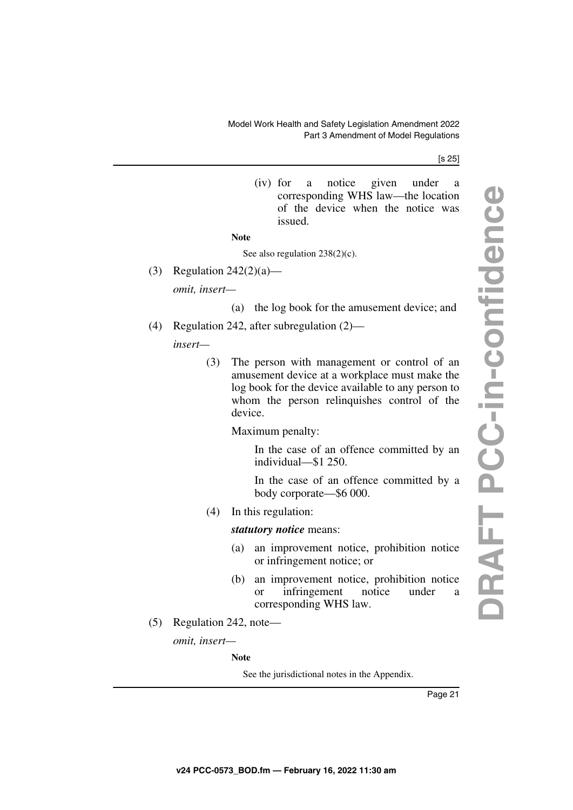#### [s 25]

(iv) for a notice given under a corresponding WHS law—the location of the device when the notice was issued.

### **Note**

#### See also regulation  $238(2)(c)$ .

(3) Regulation  $242(2)(a)$ —

*omit, insert—*

- (a) the log book for the amusement device; and
- (4) Regulation 242, after subregulation (2)—

*insert—*

(3) The person with management or control of an amusement device at a workplace must make the log book for the device available to any person to whom the person relinquishes control of the device.

Maximum penalty:

In the case of an offence committed by an individual—\$1 250.

In the case of an offence committed by a body corporate—\$6 000.

(4) In this regulation:

### *statutory notice* means:

- (a) an improvement notice, prohibition notice or infringement notice; or
- (b) an improvement notice, prohibition notice or infringement notice under a corresponding WHS law.
- (5) Regulation 242, note—

*omit, insert—*

**Note**

See the jurisdictional notes in the Appendix.